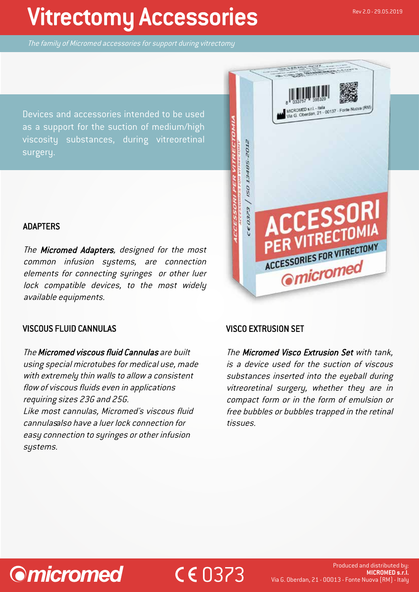# Vitrectomy Accessories

The family of Micromed accessories for support during vitrectomy

Devices and accessories intended to be used as a support for the suction of medium/high viscosity substances, during vitreoretinal surgery.



## ADAPTERS

The Micromed Adapters, designed for the most common infusion systems, are connection elements for connecting syringes or other luer lock compatible devices, to the most widely available equipments.

## VISCOUS FLUID CANNULAS

The Micromed viscous fluid Cannulas are built using special microtubes for medical use, made with extremely thin walls to allow a consistent flow of viscous fluids even in applications requiring sizes 23G and 25G.

Like most cannulas, Micromed's viscous fluid cannulasalso have a luer lock connection for easy connection to syringes or other infusion systems.

## VISCO EXTRUSION SET

CE 0373

The Micromed Visco Extrusion Set with tank, is a device used for the suction of viscous substances inserted into the eyeball during vitreoretinal surgery, whether they are in compact form or in the form of emulsion or free bubbles or bubbles trapped in the retinal tissues.

# **Omicromed**

#### Produced and distributed by: **MICROMED s.r.l.** Via G. Oberdan, 21 - 00013 - Fonte Nuova (RM) - Italy